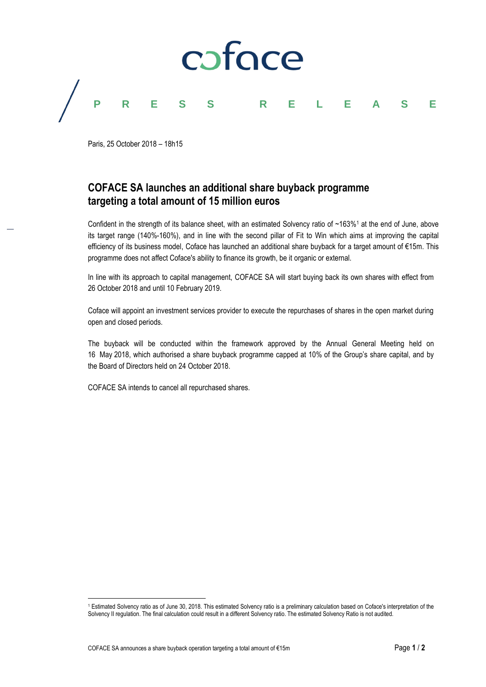

Paris, 25 October 2018 – 18h15

# **COFACE SA launches an additional share buyback programme targeting a total amount of 15 million euros**

Confident in the strength of its balance sheet, with an estimated Solvency ratio of  $~163\%$ <sup>1</sup> at the end of June, above its target range (140%-160%), and in line with the second pillar of Fit to Win which aims at improving the capital efficiency of its business model, Coface has launched an additional share buyback for a target amount of €15m. This programme does not affect Coface's ability to finance its growth, be it organic or external.

In line with its approach to capital management, COFACE SA will start buying back its own shares with effect from 26 October 2018 and until 10 February 2019.

Coface will appoint an investment services provider to execute the repurchases of shares in the open market during open and closed periods.

The buyback will be conducted within the framework approved by the Annual General Meeting held on 16 May 2018, which authorised a share buyback programme capped at 10% of the Group's share capital, and by the Board of Directors held on 24 October 2018.

COFACE SA intends to cancel all repurchased shares.

l <sup>1</sup> Estimated Solvency ratio as of June 30, 2018. This estimated Solvency ratio is a preliminary calculation based on Coface's interpretation of the Solvency II regulation. The final calculation could result in a different Solvency ratio. The estimated Solvency Ratio is not audited.